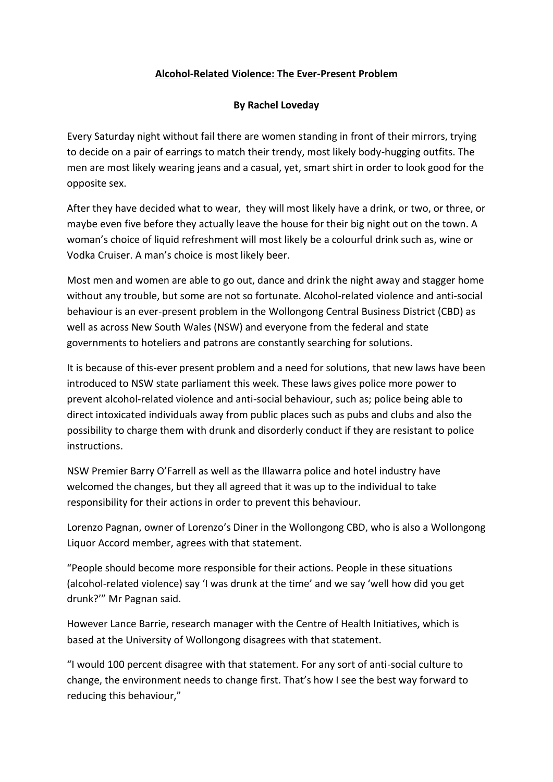## **Alcohol-Related Violence: The Ever-Present Problem**

## **By Rachel Loveday**

Every Saturday night without fail there are women standing in front of their mirrors, trying to decide on a pair of earrings to match their trendy, most likely body-hugging outfits. The men are most likely wearing jeans and a casual, yet, smart shirt in order to look good for the opposite sex.

After they have decided what to wear, they will most likely have a drink, or two, or three, or maybe even five before they actually leave the house for their big night out on the town. A woman's choice of liquid refreshment will most likely be a colourful drink such as, wine or Vodka Cruiser. A man's choice is most likely beer.

Most men and women are able to go out, dance and drink the night away and stagger home without any trouble, but some are not so fortunate. Alcohol-related violence and anti-social behaviour is an ever-present problem in the Wollongong Central Business District (CBD) as well as across New South Wales (NSW) and everyone from the federal and state governments to hoteliers and patrons are constantly searching for solutions.

It is because of this-ever present problem and a need for solutions, that new laws have been introduced to NSW state parliament this week. These laws gives police more power to prevent alcohol-related violence and anti-social behaviour, such as; police being able to direct intoxicated individuals away from public places such as pubs and clubs and also the possibility to charge them with drunk and disorderly conduct if they are resistant to police instructions.

NSW Premier Barry O'Farrell as well as the Illawarra police and hotel industry have welcomed the changes, but they all agreed that it was up to the individual to take responsibility for their actions in order to prevent this behaviour.

Lorenzo Pagnan, owner of Lorenzo's Diner in the Wollongong CBD, who is also a Wollongong Liquor Accord member, agrees with that statement.

"People should become more responsible for their actions. People in these situations (alcohol-related violence) say 'I was drunk at the time' and we say 'well how did you get drunk?'" Mr Pagnan said.

However Lance Barrie, research manager with the Centre of Health Initiatives, which is based at the University of Wollongong disagrees with that statement.

"I would 100 percent disagree with that statement. For any sort of anti-social culture to change, the environment needs to change first. That's how I see the best way forward to reducing this behaviour,"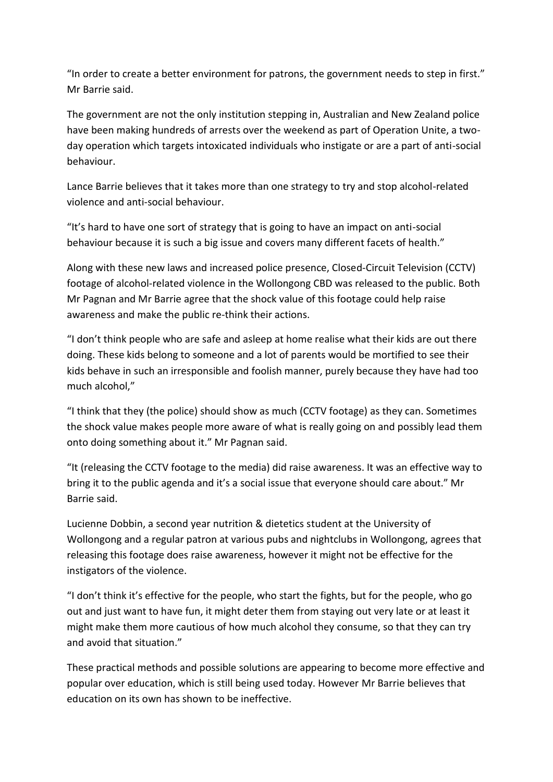"In order to create a better environment for patrons, the government needs to step in first." Mr Barrie said.

The government are not the only institution stepping in, Australian and New Zealand police have been making hundreds of arrests over the weekend as part of Operation Unite, a twoday operation which targets intoxicated individuals who instigate or are a part of anti-social behaviour.

Lance Barrie believes that it takes more than one strategy to try and stop alcohol-related violence and anti-social behaviour.

"It's hard to have one sort of strategy that is going to have an impact on anti-social behaviour because it is such a big issue and covers many different facets of health."

Along with these new laws and increased police presence, Closed-Circuit Television (CCTV) footage of alcohol-related violence in the Wollongong CBD was released to the public. Both Mr Pagnan and Mr Barrie agree that the shock value of this footage could help raise awareness and make the public re-think their actions.

"I don't think people who are safe and asleep at home realise what their kids are out there doing. These kids belong to someone and a lot of parents would be mortified to see their kids behave in such an irresponsible and foolish manner, purely because they have had too much alcohol,"

"I think that they (the police) should show as much (CCTV footage) as they can. Sometimes the shock value makes people more aware of what is really going on and possibly lead them onto doing something about it." Mr Pagnan said.

"It (releasing the CCTV footage to the media) did raise awareness. It was an effective way to bring it to the public agenda and it's a social issue that everyone should care about." Mr Barrie said.

Lucienne Dobbin, a second year nutrition & dietetics student at the University of Wollongong and a regular patron at various pubs and nightclubs in Wollongong, agrees that releasing this footage does raise awareness, however it might not be effective for the instigators of the violence.

"I don't think it's effective for the people, who start the fights, but for the people, who go out and just want to have fun, it might deter them from staying out very late or at least it might make them more cautious of how much alcohol they consume, so that they can try and avoid that situation."

These practical methods and possible solutions are appearing to become more effective and popular over education, which is still being used today. However Mr Barrie believes that education on its own has shown to be ineffective.